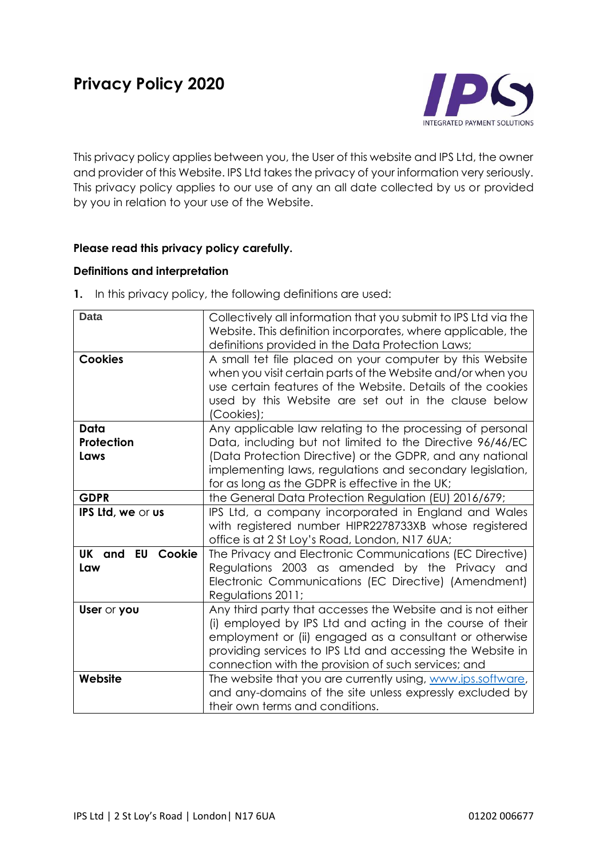

This privacy policy applies between you, the User of this website and IPS Ltd, the owner and provider of this Website. IPS Ltd takes the privacy of your information very seriously. This privacy policy applies to our use of any an all date collected by us or provided by you in relation to your use of the Website.

# **Please read this privacy policy carefully.**

### **Definitions and interpretation**

**1.** In this privacy policy, the following definitions are used:

| <b>Data</b>                       | Collectively all information that you submit to IPS Ltd via the<br>Website. This definition incorporates, where applicable, the<br>definitions provided in the Data Protection Laws;                                                                                                                     |
|-----------------------------------|----------------------------------------------------------------------------------------------------------------------------------------------------------------------------------------------------------------------------------------------------------------------------------------------------------|
| <b>Cookies</b>                    | A small tet file placed on your computer by this Website<br>when you visit certain parts of the Website and/or when you<br>use certain features of the Website. Details of the cookies<br>used by this Website are set out in the clause below<br>(Cookies);                                             |
| Data<br>Protection<br>Laws        | Any applicable law relating to the processing of personal<br>Data, including but not limited to the Directive 96/46/EC<br>(Data Protection Directive) or the GDPR, and any national<br>implementing laws, regulations and secondary legislation,<br>for as long as the GDPR is effective in the UK;      |
| <b>GDPR</b>                       | the General Data Protection Regulation (EU) 2016/679;                                                                                                                                                                                                                                                    |
| IPS Ltd, we or us                 | IPS Ltd, a company incorporated in England and Wales<br>with registered number HIPR2278733XB whose registered<br>office is at 2 St Loy's Road, London, N17 6UA;                                                                                                                                          |
| <b>EU Cookie</b><br>UK and<br>Law | The Privacy and Electronic Communications (EC Directive)<br>Regulations 2003 as amended by the Privacy and<br>Electronic Communications (EC Directive) (Amendment)<br>Regulations 2011;                                                                                                                  |
| User or you                       | Any third party that accesses the Website and is not either<br>(i) employed by IPS Ltd and acting in the course of their<br>employment or (ii) engaged as a consultant or otherwise<br>providing services to IPS Ltd and accessing the Website in<br>connection with the provision of such services; and |
| Website                           | The website that you are currently using, www.ips.software,<br>and any-domains of the site unless expressly excluded by<br>their own terms and conditions.                                                                                                                                               |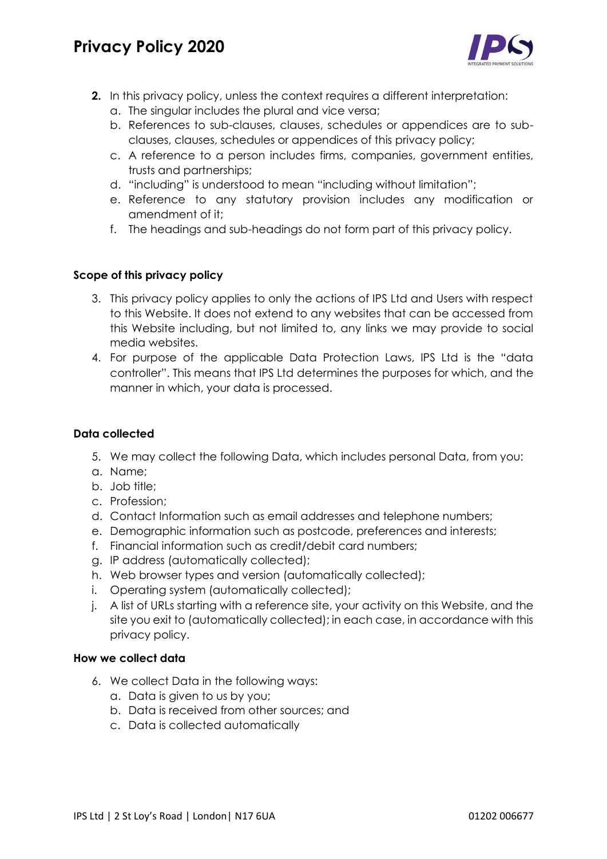# **Privacy Policy 2020**



- **2.** In this privacy policy, unless the context requires a different interpretation:
	- a. The singular includes the plural and vice versa;
	- b. References to sub-clauses, clauses, schedules or appendices are to subclauses, clauses, schedules or appendices of this privacy policy;
	- c. A reference to a person includes firms, companies, government entities, trusts and partnerships;
	- d. "including" is understood to mean "including without limitation";
	- e. Reference to any statutory provision includes any modification or amendment of it;
	- f. The headings and sub-headings do not form part of this privacy policy.

# **Scope of this privacy policy**

- 3. This privacy policy applies to only the actions of IPS Ltd and Users with respect to this Website. It does not extend to any websites that can be accessed from this Website including, but not limited to, any links we may provide to social media websites.
- 4. For purpose of the applicable Data Protection Laws, IPS Ltd is the "data controller". This means that IPS Ltd determines the purposes for which, and the manner in which, your data is processed.

## **Data collected**

- 5. We may collect the following Data, which includes personal Data, from you:
- a. Name;
- b. Job title;
- c. Profession;
- d. Contact Information such as email addresses and telephone numbers;
- e. Demographic information such as postcode, preferences and interests;
- f. Financial information such as credit/debit card numbers;
- g. IP address (automatically collected);
- h. Web browser types and version (automatically collected);
- i. Operating system (automatically collected);
- j. A list of URLs starting with a reference site, your activity on this Website, and the site you exit to (automatically collected); in each case, in accordance with this privacy policy.

#### **How we collect data**

- 6. We collect Data in the following ways:
	- a. Data is given to us by you;
	- b. Data is received from other sources; and
	- c. Data is collected automatically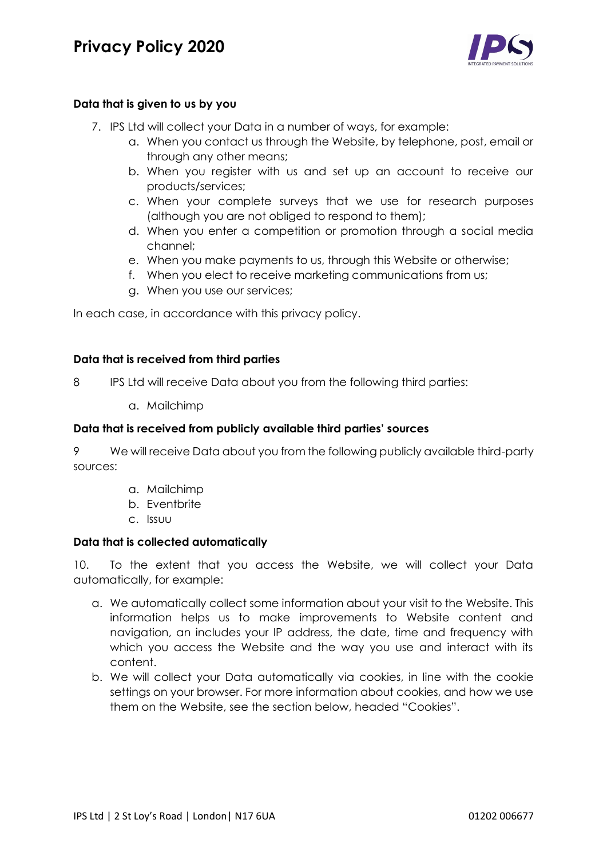

# **Data that is given to us by you**

- 7. IPS Ltd will collect your Data in a number of ways, for example:
	- a. When you contact us through the Website, by telephone, post, email or through any other means;
	- b. When you register with us and set up an account to receive our products/services;
	- c. When your complete surveys that we use for research purposes (although you are not obliged to respond to them);
	- d. When you enter a competition or promotion through a social media channel;
	- e. When you make payments to us, through this Website or otherwise;
	- f. When you elect to receive marketing communications from us;
	- g. When you use our services;

In each case, in accordance with this privacy policy.

### **Data that is received from third parties**

8 IPS Ltd will receive Data about you from the following third parties:

a. Mailchimp

### **Data that is received from publicly available third parties' sources**

9 We will receive Data about you from the following publicly available third-party sources:

- a. Mailchimp
- b. Eventbrite
- c. Issuu

# **Data that is collected automatically**

10. To the extent that you access the Website, we will collect your Data automatically, for example:

- a. We automatically collect some information about your visit to the Website. This information helps us to make improvements to Website content and navigation, an includes your IP address, the date, time and frequency with which you access the Website and the way you use and interact with its content.
- b. We will collect your Data automatically via cookies, in line with the cookie settings on your browser. For more information about cookies, and how we use them on the Website, see the section below, headed "Cookies".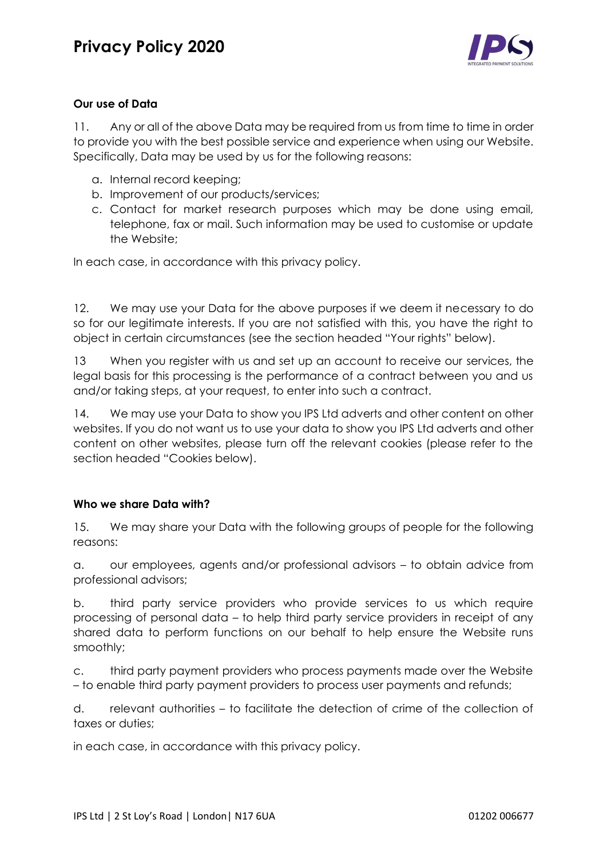

# **Our use of Data**

11. Any or all of the above Data may be required from us from time to time in order to provide you with the best possible service and experience when using our Website. Specifically, Data may be used by us for the following reasons:

- a. Internal record keeping;
- b. Improvement of our products/services;
- c. Contact for market research purposes which may be done using email, telephone, fax or mail. Such information may be used to customise or update the Website;

In each case, in accordance with this privacy policy.

12. We may use your Data for the above purposes if we deem it necessary to do so for our legitimate interests. If you are not satisfied with this, you have the right to object in certain circumstances (see the section headed "Your rights" below).

13 When you register with us and set up an account to receive our services, the legal basis for this processing is the performance of a contract between you and us and/or taking steps, at your request, to enter into such a contract.

14. We may use your Data to show you IPS Ltd adverts and other content on other websites. If you do not want us to use your data to show you IPS Ltd adverts and other content on other websites, please turn off the relevant cookies (please refer to the section headed "Cookies below).

# **Who we share Data with?**

15. We may share your Data with the following groups of people for the following reasons:

a. our employees, agents and/or professional advisors – to obtain advice from professional advisors;

b. third party service providers who provide services to us which require processing of personal data – to help third party service providers in receipt of any shared data to perform functions on our behalf to help ensure the Website runs smoothly;

c. third party payment providers who process payments made over the Website – to enable third party payment providers to process user payments and refunds;

d. relevant authorities – to facilitate the detection of crime of the collection of taxes or duties;

in each case, in accordance with this privacy policy.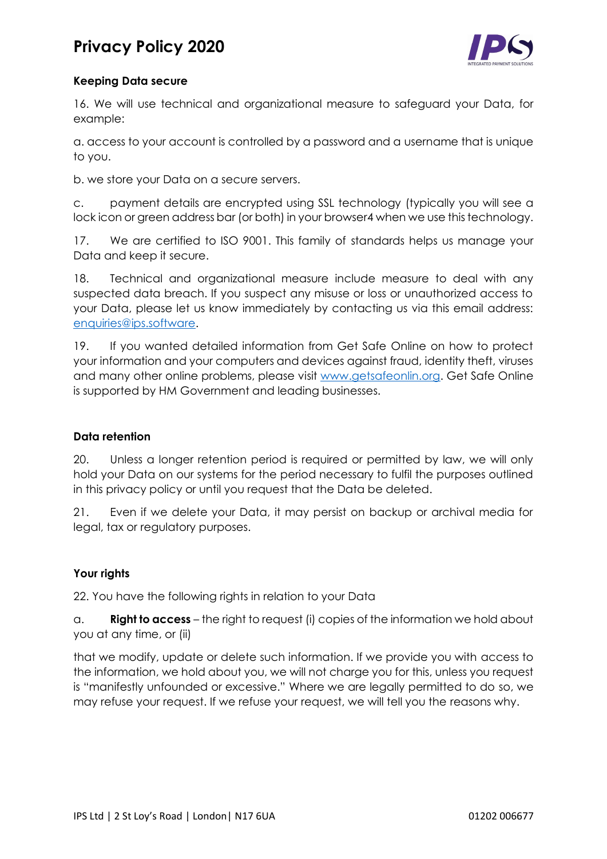# **Privacy Policy 2020**



# **Keeping Data secure**

16. We will use technical and organizational measure to safeguard your Data, for example:

a. access to your account is controlled by a password and a username that is unique to you.

b. we store your Data on a secure servers.

c. payment details are encrypted using SSL technology (typically you will see a lock icon or green address bar (or both) in your browser4 when we use this technology.

17. We are certified to ISO 9001. This family of standards helps us manage your Data and keep it secure.

18. Technical and organizational measure include measure to deal with any suspected data breach. If you suspect any misuse or loss or unauthorized access to your Data, please let us know immediately by contacting us via this email address: [enquiries@ips.software.](mailto:enquiries@ips.software)

19. If you wanted detailed information from Get Safe Online on how to protect your information and your computers and devices against fraud, identity theft, viruses and many other online problems, please visit [www.getsafeonlin.org.](http://www.getsafeonlin.org/) Get Safe Online is supported by HM Government and leading businesses.

# **Data retention**

20. Unless a longer retention period is required or permitted by law, we will only hold your Data on our systems for the period necessary to fulfil the purposes outlined in this privacy policy or until you request that the Data be deleted.

21. Even if we delete your Data, it may persist on backup or archival media for legal, tax or regulatory purposes.

# **Your rights**

22. You have the following rights in relation to your Data

a. **Right to access** – the right to request (i) copies of the information we hold about you at any time, or (ii)

that we modify, update or delete such information. If we provide you with access to the information, we hold about you, we will not charge you for this, unless you request is "manifestly unfounded or excessive." Where we are legally permitted to do so, we may refuse your request. If we refuse your request, we will tell you the reasons why.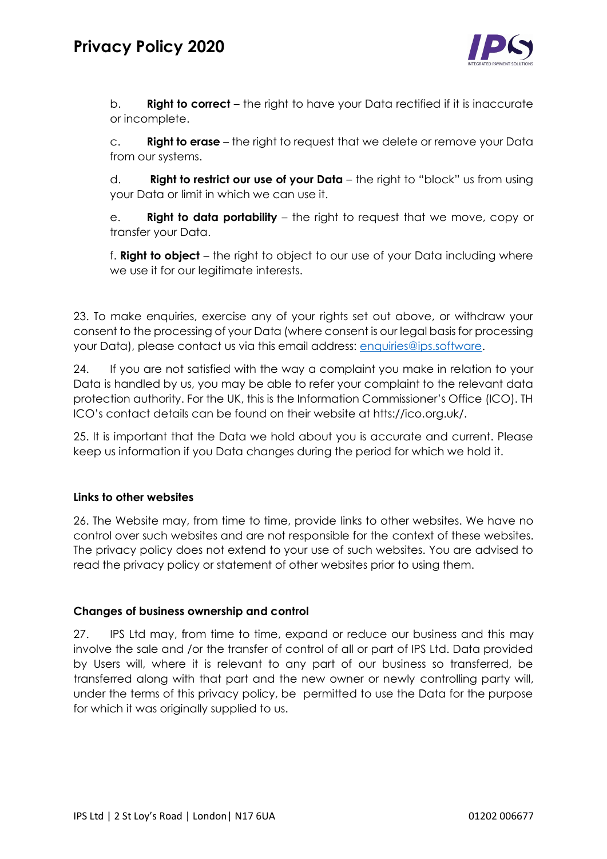

b. **Right to correct** – the right to have your Data rectified if it is inaccurate or incomplete.

c. **Right to erase** – the right to request that we delete or remove your Data from our systems.

d. **Right to restrict our use of your Data** – the right to "block" us from using your Data or limit in which we can use it.

e. **Right to data portability** – the right to request that we move, copy or transfer your Data.

f. **Right to object** – the right to object to our use of your Data including where we use it for our legitimate interests.

23. To make enquiries, exercise any of your rights set out above, or withdraw your consent to the processing of your Data (where consent is our legal basis for processing your Data), please contact us via this email address: [enquiries@ips.software.](mailto:enquiries@ips.software)

24. If you are not satisfied with the way a complaint you make in relation to your Data is handled by us, you may be able to refer your complaint to the relevant data protection authority. For the UK, this is the Information Commissioner's Office (ICO). TH ICO's contact details can be found on their website at htts://ico.org.uk/.

25. It is important that the Data we hold about you is accurate and current. Please keep us information if you Data changes during the period for which we hold it.

# **Links to other websites**

26. The Website may, from time to time, provide links to other websites. We have no control over such websites and are not responsible for the context of these websites. The privacy policy does not extend to your use of such websites. You are advised to read the privacy policy or statement of other websites prior to using them.

#### **Changes of business ownership and control**

27. IPS Ltd may, from time to time, expand or reduce our business and this may involve the sale and /or the transfer of control of all or part of IPS Ltd. Data provided by Users will, where it is relevant to any part of our business so transferred, be transferred along with that part and the new owner or newly controlling party will, under the terms of this privacy policy, be permitted to use the Data for the purpose for which it was originally supplied to us.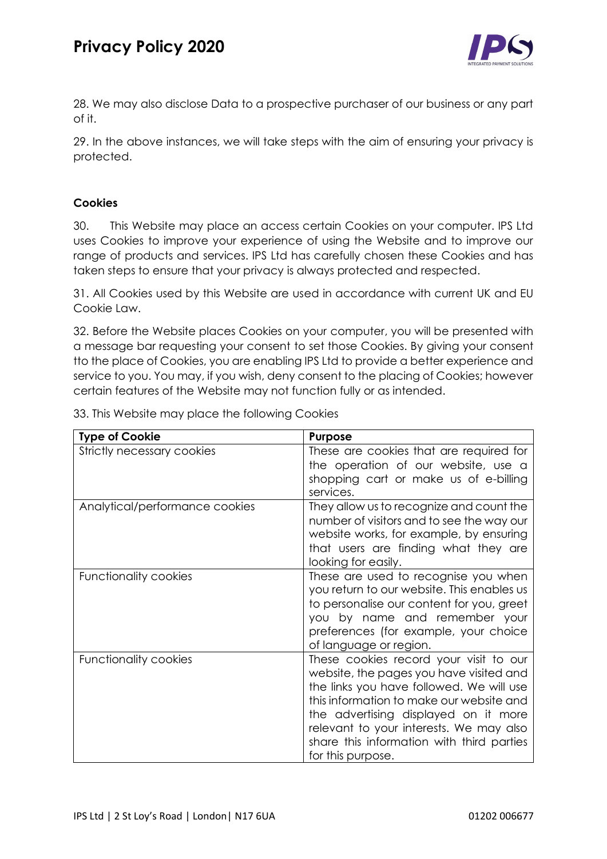

28. We may also disclose Data to a prospective purchaser of our business or any part of it.

29. In the above instances, we will take steps with the aim of ensuring your privacy is protected.

# **Cookies**

30. This Website may place an access certain Cookies on your computer. IPS Ltd uses Cookies to improve your experience of using the Website and to improve our range of products and services. IPS Ltd has carefully chosen these Cookies and has taken steps to ensure that your privacy is always protected and respected.

31. All Cookies used by this Website are used in accordance with current UK and EU Cookie Law.

32. Before the Website places Cookies on your computer, you will be presented with a message bar requesting your consent to set those Cookies. By giving your consent tto the place of Cookies, you are enabling IPS Ltd to provide a better experience and service to you. You may, if you wish, deny consent to the placing of Cookies; however certain features of the Website may not function fully or as intended.

| <b>Type of Cookie</b>          | <b>Purpose</b>                                                                                                                                                                                                                                                                                                                 |
|--------------------------------|--------------------------------------------------------------------------------------------------------------------------------------------------------------------------------------------------------------------------------------------------------------------------------------------------------------------------------|
| Strictly necessary cookies     | These are cookies that are required for<br>the operation of our website, use a<br>shopping cart or make us of e-billing<br>services.                                                                                                                                                                                           |
| Analytical/performance cookies | They allow us to recognize and count the<br>number of visitors and to see the way our<br>website works, for example, by ensuring<br>that users are finding what they are<br>looking for easily.                                                                                                                                |
| Functionality cookies          | These are used to recognise you when<br>you return to our website. This enables us<br>to personalise our content for you, greet<br>you by name and remember your<br>preferences (for example, your choice<br>of language or region.                                                                                            |
| <b>Functionality cookies</b>   | These cookies record your visit to our<br>website, the pages you have visited and<br>the links you have followed. We will use<br>this information to make our website and<br>the advertising displayed on it more<br>relevant to your interests. We may also<br>share this information with third parties<br>for this purpose. |

33. This Website may place the following Cookies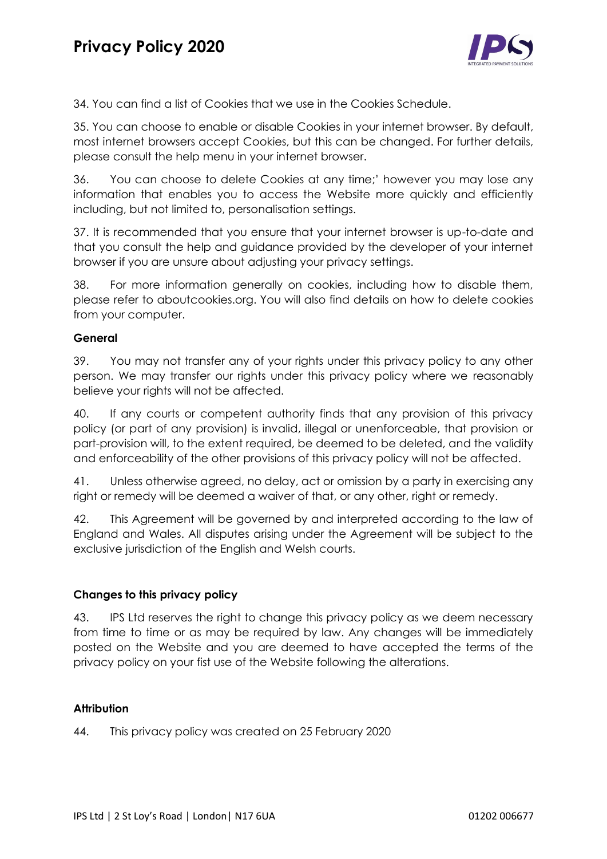

34. You can find a list of Cookies that we use in the Cookies Schedule.

35. You can choose to enable or disable Cookies in your internet browser. By default, most internet browsers accept Cookies, but this can be changed. For further details, please consult the help menu in your internet browser.

36. You can choose to delete Cookies at any time;' however you may lose any information that enables you to access the Website more quickly and efficiently including, but not limited to, personalisation settings.

37. It is recommended that you ensure that your internet browser is up-to-date and that you consult the help and guidance provided by the developer of your internet browser if you are unsure about adjusting your privacy settings.

38. For more information generally on cookies, including how to disable them, please refer to aboutcookies.org. You will also find details on how to delete cookies from your computer.

# **General**

39. You may not transfer any of your rights under this privacy policy to any other person. We may transfer our rights under this privacy policy where we reasonably believe your rights will not be affected.

40. If any courts or competent authority finds that any provision of this privacy policy (or part of any provision) is invalid, illegal or unenforceable, that provision or part-provision will, to the extent required, be deemed to be deleted, and the validity and enforceability of the other provisions of this privacy policy will not be affected.

41. Unless otherwise agreed, no delay, act or omission by a party in exercising any right or remedy will be deemed a waiver of that, or any other, right or remedy.

42. This Agreement will be governed by and interpreted according to the law of England and Wales. All disputes arising under the Agreement will be subject to the exclusive jurisdiction of the English and Welsh courts.

# **Changes to this privacy policy**

43. IPS Ltd reserves the right to change this privacy policy as we deem necessary from time to time or as may be required by law. Any changes will be immediately posted on the Website and you are deemed to have accepted the terms of the privacy policy on your fist use of the Website following the alterations.

### **Attribution**

44. This privacy policy was created on 25 February 2020